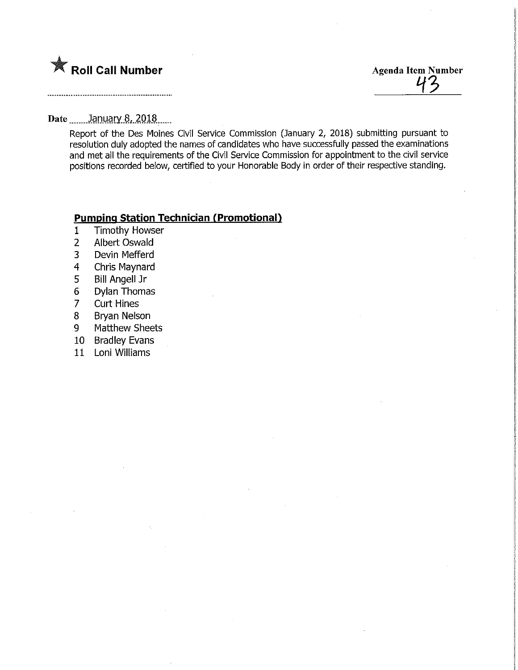

Agenda Item Number

Date ....... January 8, 2018......

Report of the Des Moines Civil Service Commission (January 2, 2018) submitting pursuant to resolution duiy adopted the names of candidates who have successfully passed the examinations and met ail the requirements of the Civil Service Commission for appointment to the civil service positions recorded below, certified to your Honorable Body in order of their respective standing.

## **Pumping Station Technician (Promotional)**

- 1 Timothy Howser<br>2 Albert Oswald
- **Albert Oswald**
- 3 Devin Mefferd
- 4 Chris Maynard
- 5 Bill Angell Jr
- 6 Dylan Thomas
- **Curt Hines**
- 8 Br/an Nelson
- 9 Matthew Sheets
- 10 Bradiey Evans
- 11 Loni Williams